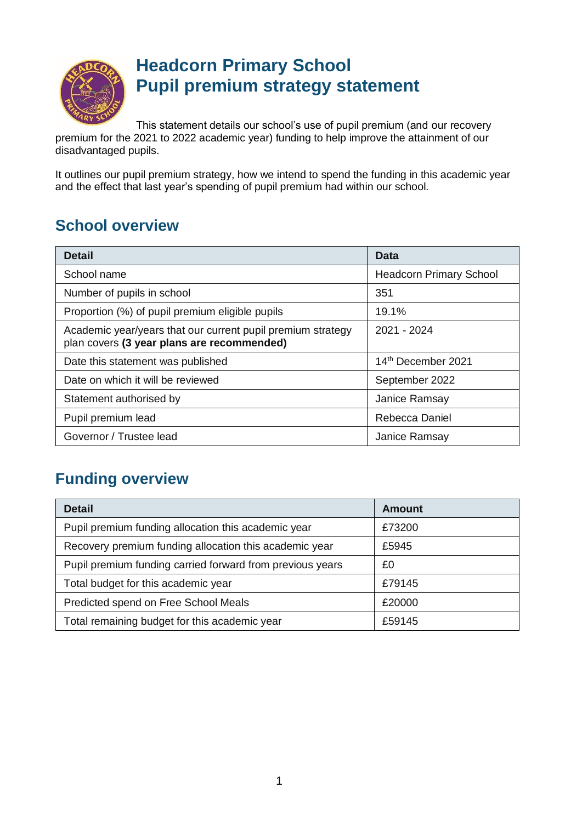

# **Headcorn Primary School Pupil premium strategy statement**

This statement details our school's use of pupil premium (and our recovery premium for the 2021 to 2022 academic year) funding to help improve the attainment of our disadvantaged pupils.

It outlines our pupil premium strategy, how we intend to spend the funding in this academic year and the effect that last year's spending of pupil premium had within our school.

# **School overview**

| <b>Detail</b>                                                                                             | Data                           |
|-----------------------------------------------------------------------------------------------------------|--------------------------------|
| School name                                                                                               | <b>Headcorn Primary School</b> |
| Number of pupils in school                                                                                | 351                            |
| Proportion (%) of pupil premium eligible pupils                                                           | 19.1%                          |
| Academic year/years that our current pupil premium strategy<br>plan covers (3 year plans are recommended) | 2021 - 2024                    |
| Date this statement was published                                                                         | 14 <sup>th</sup> December 2021 |
| Date on which it will be reviewed                                                                         | September 2022                 |
| Statement authorised by                                                                                   | Janice Ramsay                  |
| Pupil premium lead                                                                                        | Rebecca Daniel                 |
| Governor / Trustee lead                                                                                   | Janice Ramsay                  |

# **Funding overview**

| <b>Detail</b>                                             | Amount |
|-----------------------------------------------------------|--------|
| Pupil premium funding allocation this academic year       | £73200 |
| Recovery premium funding allocation this academic year    | £5945  |
| Pupil premium funding carried forward from previous years | £0     |
| Total budget for this academic year                       | £79145 |
| Predicted spend on Free School Meals                      | £20000 |
| Total remaining budget for this academic year             | £59145 |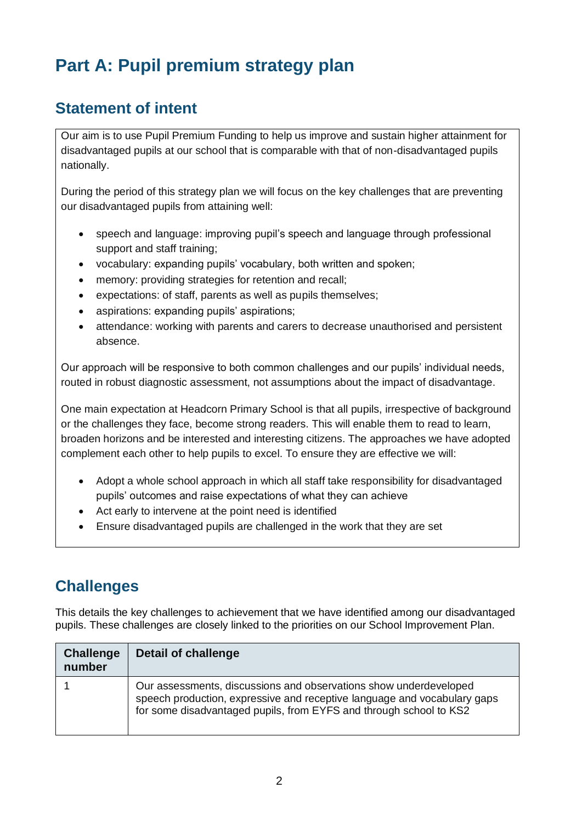# **Part A: Pupil premium strategy plan**

# **Statement of intent**

Our aim is to use Pupil Premium Funding to help us improve and sustain higher attainment for disadvantaged pupils at our school that is comparable with that of non-disadvantaged pupils nationally.

During the period of this strategy plan we will focus on the key challenges that are preventing our disadvantaged pupils from attaining well:

- speech and language: improving pupil's speech and language through professional support and staff training;
- vocabulary: expanding pupils' vocabulary, both written and spoken;
- memory: providing strategies for retention and recall;
- expectations: of staff, parents as well as pupils themselves;
- aspirations: expanding pupils' aspirations;
- attendance: working with parents and carers to decrease unauthorised and persistent absence.

Our approach will be responsive to both common challenges and our pupils' individual needs, routed in robust diagnostic assessment, not assumptions about the impact of disadvantage.

One main expectation at Headcorn Primary School is that all pupils, irrespective of background or the challenges they face, become strong readers. This will enable them to read to learn, broaden horizons and be interested and interesting citizens. The approaches we have adopted complement each other to help pupils to excel. To ensure they are effective we will:

- Adopt a whole school approach in which all staff take responsibility for disadvantaged pupils' outcomes and raise expectations of what they can achieve
- Act early to intervene at the point need is identified
- Ensure disadvantaged pupils are challenged in the work that they are set

# **Challenges**

This details the key challenges to achievement that we have identified among our disadvantaged pupils. These challenges are closely linked to the priorities on our School Improvement Plan.

| <b>Challenge</b><br>number | Detail of challenge                                                                                                                                                                                                 |
|----------------------------|---------------------------------------------------------------------------------------------------------------------------------------------------------------------------------------------------------------------|
|                            | Our assessments, discussions and observations show underdeveloped<br>speech production, expressive and receptive language and vocabulary gaps<br>for some disadvantaged pupils, from EYFS and through school to KS2 |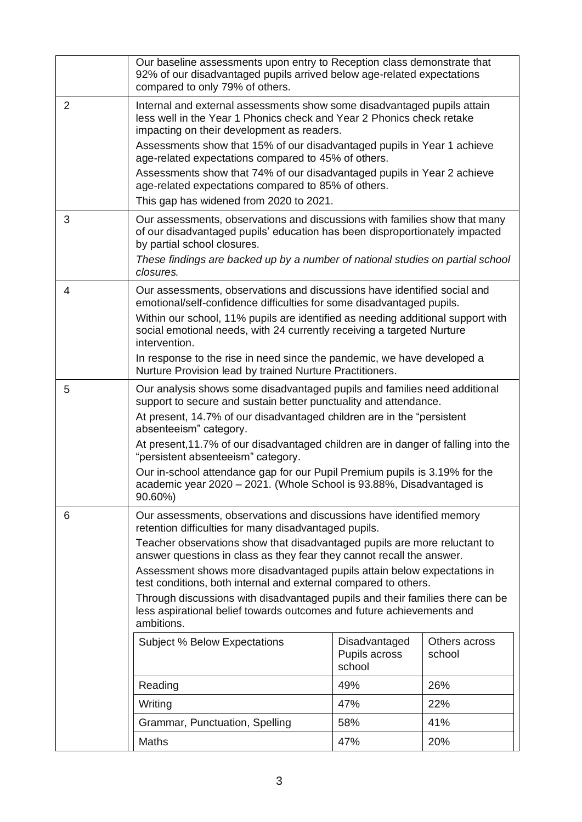|                | Our baseline assessments upon entry to Reception class demonstrate that<br>92% of our disadvantaged pupils arrived below age-related expectations<br>compared to only 79% of others.           |                                          |                         |
|----------------|------------------------------------------------------------------------------------------------------------------------------------------------------------------------------------------------|------------------------------------------|-------------------------|
| $\overline{2}$ | Internal and external assessments show some disadvantaged pupils attain<br>less well in the Year 1 Phonics check and Year 2 Phonics check retake<br>impacting on their development as readers. |                                          |                         |
|                | Assessments show that 15% of our disadvantaged pupils in Year 1 achieve<br>age-related expectations compared to 45% of others.                                                                 |                                          |                         |
|                | Assessments show that 74% of our disadvantaged pupils in Year 2 achieve<br>age-related expectations compared to 85% of others.                                                                 |                                          |                         |
|                | This gap has widened from 2020 to 2021.                                                                                                                                                        |                                          |                         |
| 3              | Our assessments, observations and discussions with families show that many<br>of our disadvantaged pupils' education has been disproportionately impacted<br>by partial school closures.       |                                          |                         |
|                | These findings are backed up by a number of national studies on partial school<br>closures.                                                                                                    |                                          |                         |
| 4              | Our assessments, observations and discussions have identified social and<br>emotional/self-confidence difficulties for some disadvantaged pupils.                                              |                                          |                         |
|                | Within our school, 11% pupils are identified as needing additional support with<br>social emotional needs, with 24 currently receiving a targeted Nurture<br>intervention.                     |                                          |                         |
|                | In response to the rise in need since the pandemic, we have developed a<br>Nurture Provision lead by trained Nurture Practitioners.                                                            |                                          |                         |
| 5              | Our analysis shows some disadvantaged pupils and families need additional<br>support to secure and sustain better punctuality and attendance.                                                  |                                          |                         |
|                | At present, 14.7% of our disadvantaged children are in the "persistent<br>absenteeism" category.                                                                                               |                                          |                         |
|                | At present, 11.7% of our disadvantaged children are in danger of falling into the<br>"persistent absenteeism" category.                                                                        |                                          |                         |
|                | Our in-school attendance gap for our Pupil Premium pupils is 3.19% for the<br>academic year 2020 - 2021. (Whole School is 93.88%, Disadvantaged is<br>90.60%)                                  |                                          |                         |
| 6              | Our assessments, observations and discussions have identified memory<br>retention difficulties for many disadvantaged pupils.                                                                  |                                          |                         |
|                | Teacher observations show that disadvantaged pupils are more reluctant to<br>answer questions in class as they fear they cannot recall the answer.                                             |                                          |                         |
|                | Assessment shows more disadvantaged pupils attain below expectations in<br>test conditions, both internal and external compared to others.                                                     |                                          |                         |
|                | Through discussions with disadvantaged pupils and their families there can be<br>less aspirational belief towards outcomes and future achievements and<br>ambitions.                           |                                          |                         |
|                | <b>Subject % Below Expectations</b>                                                                                                                                                            | Disadvantaged<br>Pupils across<br>school | Others across<br>school |
|                | Reading                                                                                                                                                                                        | 49%                                      | 26%                     |
|                | Writing                                                                                                                                                                                        | 47%                                      | 22%                     |
|                | Grammar, Punctuation, Spelling                                                                                                                                                                 | 58%                                      | 41%                     |
|                | Maths                                                                                                                                                                                          | 47%                                      | 20%                     |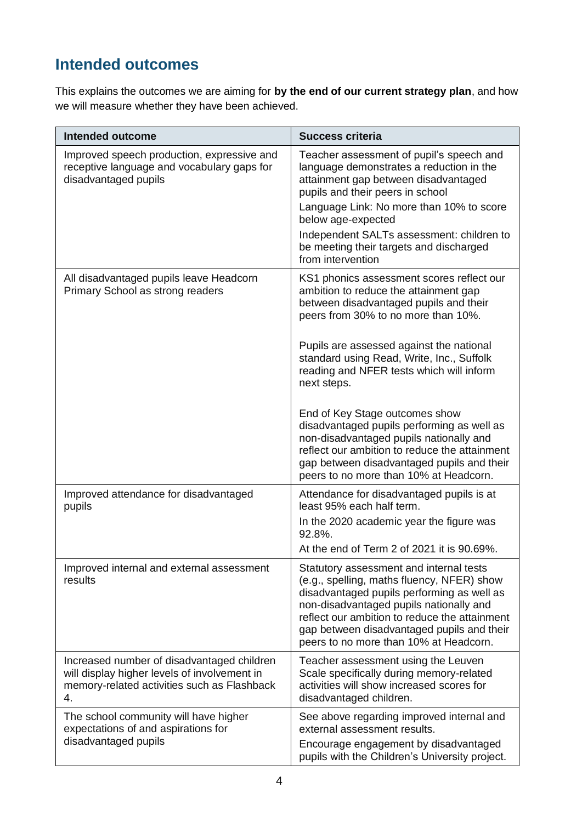# **Intended outcomes**

This explains the outcomes we are aiming for **by the end of our current strategy plan**, and how we will measure whether they have been achieved.

| <b>Intended outcome</b>                                                                                                                         | <b>Success criteria</b>                                                                                                                                                                                                                                                                                                 |
|-------------------------------------------------------------------------------------------------------------------------------------------------|-------------------------------------------------------------------------------------------------------------------------------------------------------------------------------------------------------------------------------------------------------------------------------------------------------------------------|
| Improved speech production, expressive and<br>receptive language and vocabulary gaps for<br>disadvantaged pupils                                | Teacher assessment of pupil's speech and<br>language demonstrates a reduction in the<br>attainment gap between disadvantaged<br>pupils and their peers in school                                                                                                                                                        |
|                                                                                                                                                 | Language Link: No more than 10% to score<br>below age-expected                                                                                                                                                                                                                                                          |
|                                                                                                                                                 | Independent SALTs assessment: children to<br>be meeting their targets and discharged<br>from intervention                                                                                                                                                                                                               |
| All disadvantaged pupils leave Headcorn<br>Primary School as strong readers                                                                     | KS1 phonics assessment scores reflect our<br>ambition to reduce the attainment gap<br>between disadvantaged pupils and their<br>peers from 30% to no more than 10%.                                                                                                                                                     |
|                                                                                                                                                 | Pupils are assessed against the national<br>standard using Read, Write, Inc., Suffolk<br>reading and NFER tests which will inform<br>next steps.                                                                                                                                                                        |
|                                                                                                                                                 | End of Key Stage outcomes show<br>disadvantaged pupils performing as well as<br>non-disadvantaged pupils nationally and<br>reflect our ambition to reduce the attainment<br>gap between disadvantaged pupils and their<br>peers to no more than 10% at Headcorn.                                                        |
| Improved attendance for disadvantaged<br>pupils                                                                                                 | Attendance for disadvantaged pupils is at<br>least 95% each half term.<br>In the 2020 academic year the figure was                                                                                                                                                                                                      |
|                                                                                                                                                 | 92.8%.<br>At the end of Term 2 of 2021 it is 90.69%.                                                                                                                                                                                                                                                                    |
| Improved internal and external assessment<br>results                                                                                            | Statutory assessment and internal tests<br>(e.g., spelling, maths fluency, NFER) show<br>disadvantaged pupils performing as well as<br>non-disadvantaged pupils nationally and<br>reflect our ambition to reduce the attainment<br>gap between disadvantaged pupils and their<br>peers to no more than 10% at Headcorn. |
| Increased number of disadvantaged children<br>will display higher levels of involvement in<br>memory-related activities such as Flashback<br>4. | Teacher assessment using the Leuven<br>Scale specifically during memory-related<br>activities will show increased scores for<br>disadvantaged children.                                                                                                                                                                 |
| The school community will have higher<br>expectations of and aspirations for                                                                    | See above regarding improved internal and<br>external assessment results.                                                                                                                                                                                                                                               |
| disadvantaged pupils                                                                                                                            | Encourage engagement by disadvantaged<br>pupils with the Children's University project.                                                                                                                                                                                                                                 |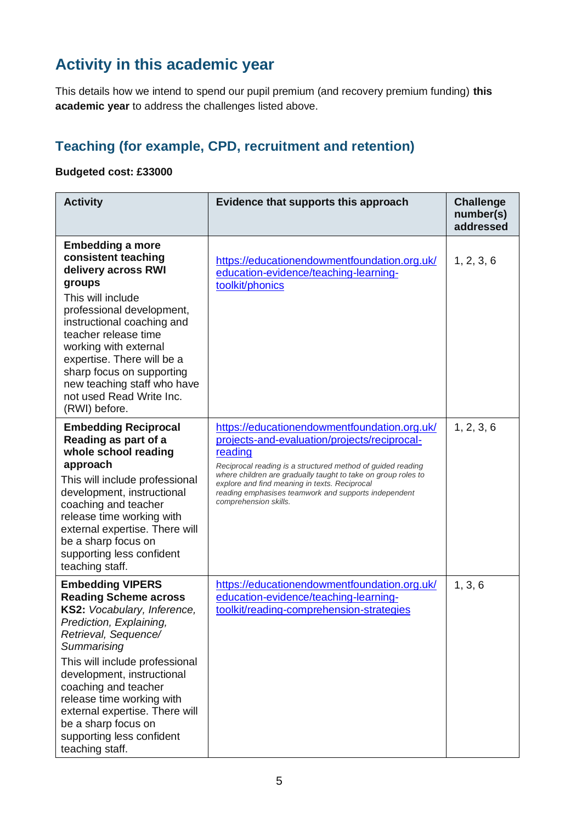# **Activity in this academic year**

This details how we intend to spend our pupil premium (and recovery premium funding) **this academic year** to address the challenges listed above.

### **Teaching (for example, CPD, recruitment and retention)**

#### **Budgeted cost: £33000**

| <b>Activity</b>                                                                                                                                                                                                                                                                                                                                                                        | Evidence that supports this approach                                                                                                                                                                                                                                                                                                                                      | <b>Challenge</b><br>number(s)<br>addressed |
|----------------------------------------------------------------------------------------------------------------------------------------------------------------------------------------------------------------------------------------------------------------------------------------------------------------------------------------------------------------------------------------|---------------------------------------------------------------------------------------------------------------------------------------------------------------------------------------------------------------------------------------------------------------------------------------------------------------------------------------------------------------------------|--------------------------------------------|
| <b>Embedding a more</b><br>consistent teaching<br>delivery across RWI<br>groups<br>This will include<br>professional development,<br>instructional coaching and<br>teacher release time<br>working with external<br>expertise. There will be a<br>sharp focus on supporting<br>new teaching staff who have<br>not used Read Write Inc.<br>(RWI) before.                                | https://educationendowmentfoundation.org.uk/<br>education-evidence/teaching-learning-<br>toolkit/phonics                                                                                                                                                                                                                                                                  | 1, 2, 3, 6                                 |
| <b>Embedding Reciprocal</b><br>Reading as part of a<br>whole school reading<br>approach<br>This will include professional<br>development, instructional<br>coaching and teacher<br>release time working with<br>external expertise. There will<br>be a sharp focus on<br>supporting less confident<br>teaching staff.                                                                  | https://educationendowmentfoundation.org.uk/<br>projects-and-evaluation/projects/reciprocal-<br>reading<br>Reciprocal reading is a structured method of guided reading<br>where children are gradually taught to take on group roles to<br>explore and find meaning in texts. Reciprocal<br>reading emphasises teamwork and supports independent<br>comprehension skills. | 1, 2, 3, 6                                 |
| <b>Embedding VIPERS</b><br><b>Reading Scheme across</b><br>KS2: Vocabulary, Inference,<br>Prediction, Explaining,<br>Retrieval, Sequence/<br>Summarising<br>This will include professional<br>development, instructional<br>coaching and teacher<br>release time working with<br>external expertise. There will<br>be a sharp focus on<br>supporting less confident<br>teaching staff. | https://educationendowmentfoundation.org.uk/<br>education-evidence/teaching-learning-<br>toolkit/reading-comprehension-strategies                                                                                                                                                                                                                                         | 1, 3, 6                                    |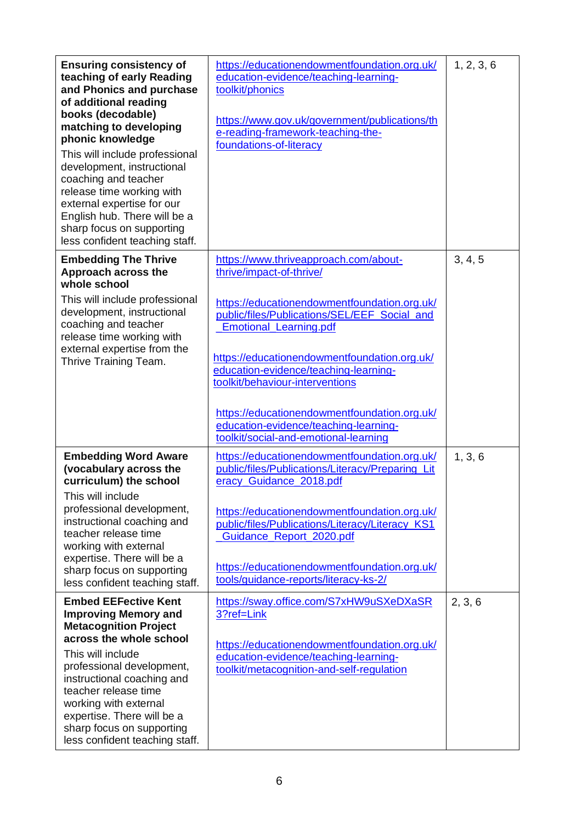| <b>Ensuring consistency of</b><br>teaching of early Reading<br>and Phonics and purchase<br>of additional reading<br>books (decodable)<br>matching to developing<br>phonic knowledge<br>This will include professional<br>development, instructional<br>coaching and teacher<br>release time working with<br>external expertise for our<br>English hub. There will be a<br>sharp focus on supporting<br>less confident teaching staff. | https://educationendowmentfoundation.org.uk/<br>education-evidence/teaching-learning-<br>toolkit/phonics<br>https://www.gov.uk/government/publications/th<br>e-reading-framework-teaching-the-<br>foundations-of-literacy                                                                                                                                                                                                                                        | 1, 2, 3, 6 |
|---------------------------------------------------------------------------------------------------------------------------------------------------------------------------------------------------------------------------------------------------------------------------------------------------------------------------------------------------------------------------------------------------------------------------------------|------------------------------------------------------------------------------------------------------------------------------------------------------------------------------------------------------------------------------------------------------------------------------------------------------------------------------------------------------------------------------------------------------------------------------------------------------------------|------------|
| <b>Embedding The Thrive</b><br>Approach across the<br>whole school<br>This will include professional<br>development, instructional<br>coaching and teacher<br>release time working with<br>external expertise from the<br>Thrive Training Team.                                                                                                                                                                                       | https://www.thriveapproach.com/about-<br>thrive/impact-of-thrive/<br>https://educationendowmentfoundation.org.uk/<br>public/files/Publications/SEL/EEF_Social_and<br><b>Emotional Learning.pdf</b><br>https://educationendowmentfoundation.org.uk/<br>education-evidence/teaching-learning-<br>toolkit/behaviour-interventions<br>https://educationendowmentfoundation.org.uk/<br>education-evidence/teaching-learning-<br>toolkit/social-and-emotional-learning | 3, 4, 5    |
| <b>Embedding Word Aware</b><br>(vocabulary across the<br>curriculum) the school<br>This will include<br>professional development,<br>instructional coaching and<br>teacher release time<br>working with external<br>expertise. There will be a<br>sharp focus on supporting<br>less confident teaching staff.                                                                                                                         | https://educationendowmentfoundation.org.uk/<br>public/files/Publications/Literacy/Preparing_Lit<br>eracy_Guidance_2018.pdf<br>https://educationendowmentfoundation.org.uk/<br>public/files/Publications/Literacy/Literacy_KS1<br>Guidance_Report_2020.pdf<br>https://educationendowmentfoundation.org.uk/<br>tools/guidance-reports/literacy-ks-2/                                                                                                              | 1, 3, 6    |
| <b>Embed EEFective Kent</b><br><b>Improving Memory and</b><br><b>Metacognition Project</b><br>across the whole school<br>This will include<br>professional development,<br>instructional coaching and<br>teacher release time<br>working with external<br>expertise. There will be a<br>sharp focus on supporting<br>less confident teaching staff.                                                                                   | https://sway.office.com/S7xHW9uSXeDXaSR<br>3?ref=Link<br>https://educationendowmentfoundation.org.uk/<br>education-evidence/teaching-learning-<br>toolkit/metacognition-and-self-regulation                                                                                                                                                                                                                                                                      | 2, 3, 6    |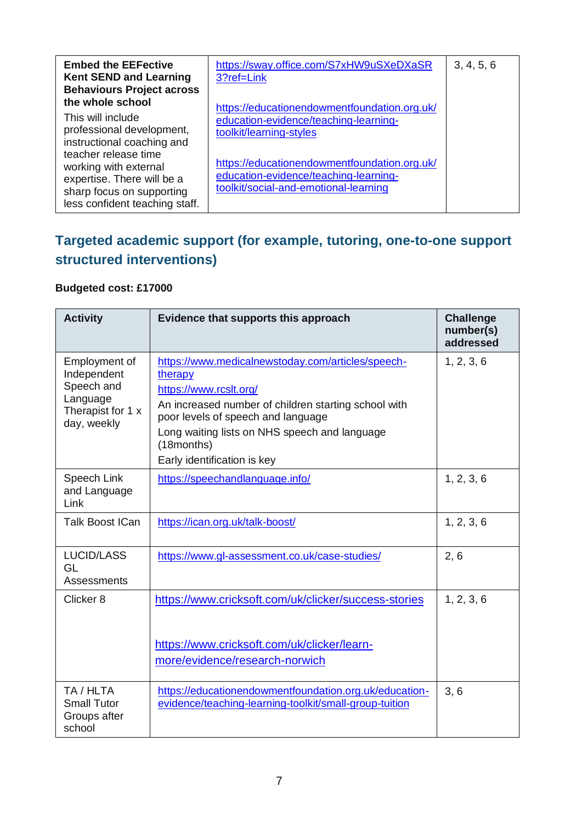| <b>Embed the EEFective</b><br><b>Kent SEND and Learning</b><br><b>Behaviours Project across</b><br>the whole school | https://sway.office.com/S7xHW9uSXeDXaSR<br>3?ref=Link<br>https://educationendowmentfoundation.org.uk/                          | 3, 4, 5, 6 |
|---------------------------------------------------------------------------------------------------------------------|--------------------------------------------------------------------------------------------------------------------------------|------------|
| This will include<br>professional development,<br>instructional coaching and<br>teacher release time                | education-evidence/teaching-learning-<br>toolkit/learning-styles                                                               |            |
| working with external<br>expertise. There will be a<br>sharp focus on supporting<br>less confident teaching staff.  | https://educationendowmentfoundation.org.uk/<br>education-evidence/teaching-learning-<br>toolkit/social-and-emotional-learning |            |

### **Targeted academic support (for example, tutoring, one-to-one support structured interventions)**

### **Budgeted cost: £17000**

| <b>Activity</b>                                                                            | Evidence that supports this approach                                                                                                                                                                                                                                               | <b>Challenge</b><br>number(s)<br>addressed |
|--------------------------------------------------------------------------------------------|------------------------------------------------------------------------------------------------------------------------------------------------------------------------------------------------------------------------------------------------------------------------------------|--------------------------------------------|
| Employment of<br>Independent<br>Speech and<br>Language<br>Therapist for 1 x<br>day, weekly | https://www.medicalnewstoday.com/articles/speech-<br>therapy<br>https://www.rcslt.org/<br>An increased number of children starting school with<br>poor levels of speech and language<br>Long waiting lists on NHS speech and language<br>(18months)<br>Early identification is key | 1, 2, 3, 6                                 |
| Speech Link<br>and Language<br>Link                                                        | https://speechandlanguage.info/                                                                                                                                                                                                                                                    | 1, 2, 3, 6                                 |
| <b>Talk Boost ICan</b>                                                                     | https://ican.org.uk/talk-boost/                                                                                                                                                                                                                                                    | 1, 2, 3, 6                                 |
| <b>LUCID/LASS</b><br>GL<br>Assessments                                                     | https://www.gl-assessment.co.uk/case-studies/                                                                                                                                                                                                                                      | 2, 6                                       |
| Clicker 8                                                                                  | https://www.cricksoft.com/uk/clicker/success-stories<br>https://www.cricksoft.com/uk/clicker/learn-<br>more/evidence/research-norwich                                                                                                                                              | 1, 2, 3, 6                                 |
| TA / HLTA<br><b>Small Tutor</b><br>Groups after<br>school                                  | https://educationendowmentfoundation.org.uk/education-<br>evidence/teaching-learning-toolkit/small-group-tuition                                                                                                                                                                   | 3, 6                                       |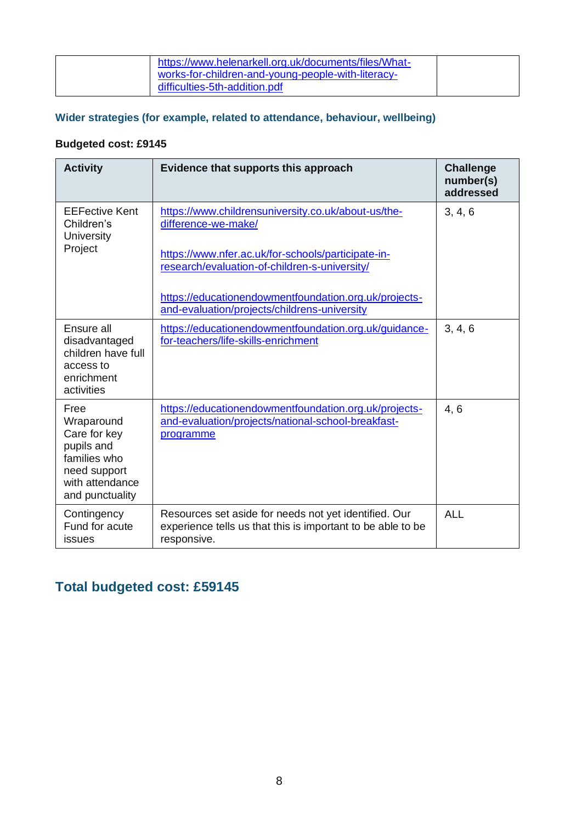| https://www.helenarkell.org.uk/documents/files/What-<br>works-for-children-and-young-people-with-literacy- |  |
|------------------------------------------------------------------------------------------------------------|--|
| difficulties-5th-addition.pdf                                                                              |  |

### **Wider strategies (for example, related to attendance, behaviour, wellbeing)**

#### **Budgeted cost: £9145**

| <b>Activity</b>                                                                                                        | Evidence that supports this approach                                                                                                | <b>Challenge</b><br>number(s)<br>addressed |
|------------------------------------------------------------------------------------------------------------------------|-------------------------------------------------------------------------------------------------------------------------------------|--------------------------------------------|
| <b>EEFective Kent</b><br>Children's<br>University                                                                      | https://www.childrensuniversity.co.uk/about-us/the-<br>difference-we-make/                                                          | 3, 4, 6                                    |
| Project                                                                                                                | https://www.nfer.ac.uk/for-schools/participate-in-<br>research/evaluation-of-children-s-university/                                 |                                            |
|                                                                                                                        | https://educationendowmentfoundation.org.uk/projects-<br>and-evaluation/projects/childrens-university                               |                                            |
| Ensure all<br>disadvantaged<br>children have full<br>access to<br>enrichment<br>activities                             | https://educationendowmentfoundation.org.uk/guidance-<br>for-teachers/life-skills-enrichment                                        | 3, 4, 6                                    |
| Free<br>Wraparound<br>Care for key<br>pupils and<br>families who<br>need support<br>with attendance<br>and punctuality | https://educationendowmentfoundation.org.uk/projects-<br>and-evaluation/projects/national-school-breakfast-<br>programme            | 4, 6                                       |
| Contingency<br>Fund for acute<br><b>issues</b>                                                                         | Resources set aside for needs not yet identified. Our<br>experience tells us that this is important to be able to be<br>responsive. | <b>ALL</b>                                 |

# **Total budgeted cost: £59145**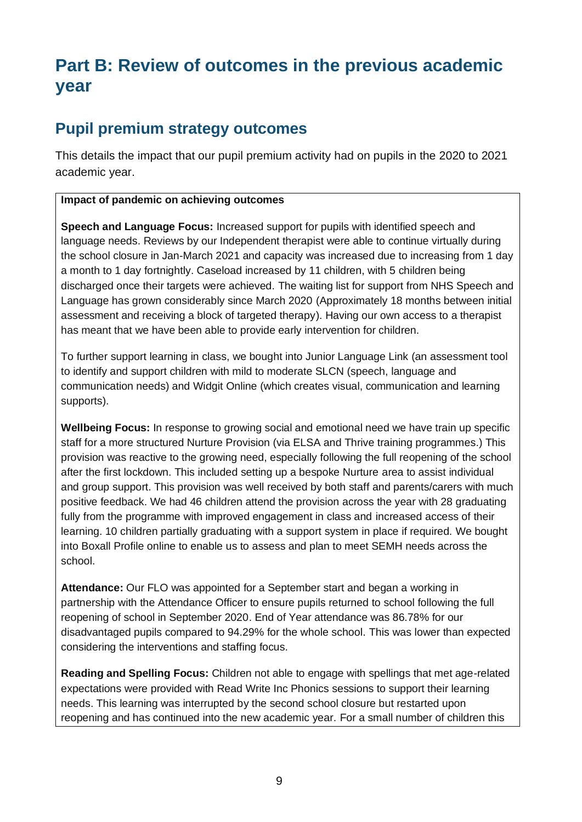# **Part B: Review of outcomes in the previous academic year**

## **Pupil premium strategy outcomes**

This details the impact that our pupil premium activity had on pupils in the 2020 to 2021 academic year.

#### **Impact of pandemic on achieving outcomes**

**Speech and Language Focus:** Increased support for pupils with identified speech and language needs. Reviews by our Independent therapist were able to continue virtually during the school closure in Jan-March 2021 and capacity was increased due to increasing from 1 day a month to 1 day fortnightly. Caseload increased by 11 children, with 5 children being discharged once their targets were achieved. The waiting list for support from NHS Speech and Language has grown considerably since March 2020 (Approximately 18 months between initial assessment and receiving a block of targeted therapy). Having our own access to a therapist has meant that we have been able to provide early intervention for children.

To further support learning in class, we bought into Junior Language Link (an assessment tool to identify and support children with mild to moderate SLCN (speech, language and communication needs) and Widgit Online (which creates visual, communication and learning supports).

**Wellbeing Focus:** In response to growing social and emotional need we have train up specific staff for a more structured Nurture Provision (via ELSA and Thrive training programmes.) This provision was reactive to the growing need, especially following the full reopening of the school after the first lockdown. This included setting up a bespoke Nurture area to assist individual and group support. This provision was well received by both staff and parents/carers with much positive feedback. We had 46 children attend the provision across the year with 28 graduating fully from the programme with improved engagement in class and increased access of their learning. 10 children partially graduating with a support system in place if required. We bought into Boxall Profile online to enable us to assess and plan to meet SEMH needs across the school.

**Attendance:** Our FLO was appointed for a September start and began a working in partnership with the Attendance Officer to ensure pupils returned to school following the full reopening of school in September 2020. End of Year attendance was 86.78% for our disadvantaged pupils compared to 94.29% for the whole school. This was lower than expected considering the interventions and staffing focus.

**Reading and Spelling Focus:** Children not able to engage with spellings that met age-related expectations were provided with Read Write Inc Phonics sessions to support their learning needs. This learning was interrupted by the second school closure but restarted upon reopening and has continued into the new academic year. For a small number of children this